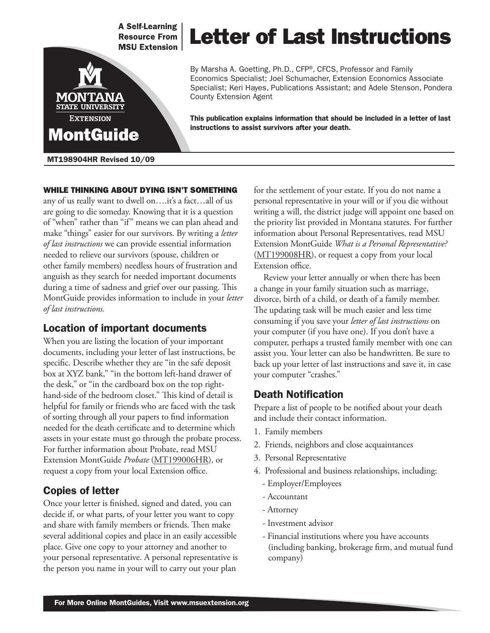**A Self-Learning Resource From MSU Extension** 



# Letter of Last Instructions

By Marsha A. Goetting, Ph.D., CFP®, CFCS, Professor and Family Economics Specialist; Joel Schumacher, Extension Economics Associate Specialist; Keri Hayes, Publications Assistant; and Adele Stenson, Pondera County Extension Agent

This publication explains information that should be included in a letter of last instructions to assist survivors after your death.

#### MT198904HR Revised 10/09

#### WHILE THINKING ABOUT DYING ISN'T SOMETHING

any of us really want to dwell on….it's a fact…all of us are going to die someday. Knowing that it is a question of "when" rather than "if" means we can plan ahead and make "things" easier for our survivors. By writing a *letter of last instructions* we can provide essential information needed to relieve our survivors (spouse, children or other family members) needless hours of frustration and anguish as they search for needed important documents during a time of sadness and grief over our passing. This MontGuide provides information to include in your *letter of last instructions.*

#### Location of important documents

When you are listing the location of your important documents, including your letter of last instructions, be specific. Describe whether they are "in the safe deposit box at XYZ bank," "in the bottom left-hand drawer of the desk," or "in the cardboard box on the top righthand-side of the bedroom closet." This kind of detail is helpful for family or friends who are faced with the task of sorting through all your papers to find information needed for the death certificate and to determine which assets in your estate must go through the probate process. For further information about Probate, read MSU Extension MontGuide *Probate* [\(MT199006HR](http://msuextension.org/publications/FamilyFinancialManagement/MT199006HR.pdf)), or request a copy from your local Extension office.

#### Copies of letter

Once your letter is finished, signed and dated, you can decide if, or what parts, of your letter you want to copy and share with family members or friends. Then make several additional copies and place in an easily accessible place. Give one copy to your attorney and another to your personal representative. A personal representative is the person you name in your will to carry out your plan

for the settlement of your estate. If you do not name a personal representative in your will or if you die without writing a will, the district judge will appoint one based on the priority list provided in Montana statutes. For further information about Personal Representatives, read MSU Extension MontGuide *What is a Personal Representative?*  ([MT199008HR\)](http://msuextension.org/publications/FamilyFinancialManagement/MT199008HR.pdf), or request a copy from your local Extension office.

Review your letter annually or when there has been a change in your family situation such as marriage, divorce, birth of a child, or death of a family member. The updating task will be much easier and less time consuming if you save your *letter of last instructions* on your computer (if you have one). If you don't have a computer, perhaps a trusted family member with one can assist you. Your letter can also be handwritten. Be sure to back up your letter of last instructions and save it, in case your computer "crashes."

#### Death Notification

Prepare a list of people to be notified about your death and include their contact information.

- 1. Family members
- 2. Friends, neighbors and close acquaintances
- 3. Personal Representative
- 4. Professional and business relationships, including:
	- Employer/Employees
	- Accountant
	- Attorney
	- Investment advisor
	- Financial institutions where you have accounts (including banking, brokerage firm, and mutual fund company)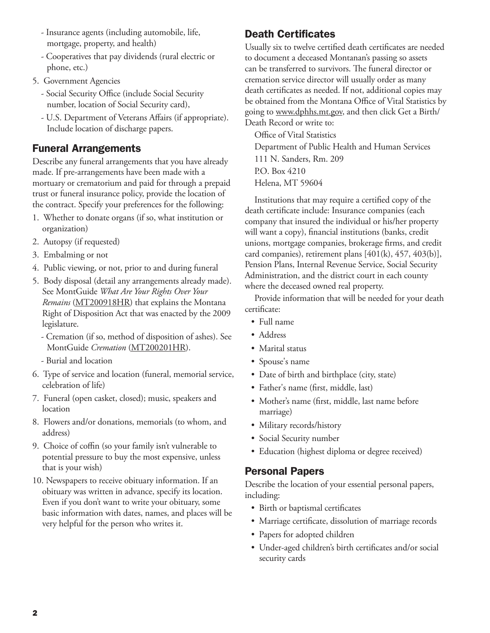- Insurance agents (including automobile, life, mortgage, property, and health)
- Cooperatives that pay dividends (rural electric or phone, etc.)
- 5. Government Agencies
	- Social Security Office (include Social Security number, location of Social Security card),
	- U.S. Department of Veterans Affairs (if appropriate). Include location of discharge papers.

# Funeral Arrangements

Describe any funeral arrangements that you have already made. If pre-arrangements have been made with a mortuary or crematorium and paid for through a prepaid trust or funeral insurance policy, provide the location of the contract. Specify your preferences for the following:

- 1. Whether to donate organs (if so, what institution or organization)
- 2. Autopsy (if requested)
- 3. Embalming or not
- 4. Public viewing, or not, prior to and during funeral
- 5. Body disposal (detail any arrangements already made). See MontGuide *What Are Your Rights Over Your Remains* [\(MT200918HR](http://msuextension.org/publications/FamilyFinancialManagement/MT200918HR.pdf)) that explains the Montana Right of Disposition Act that was enacted by the 2009 legislature.
	- Cremation (if so, method of disposition of ashes). See MontGuide *Cremation* ([MT200201HR\)](http://msuextension.org/publications/FamilyFinancialManagement/MT200201HR.pdf).
	- Burial and location
- 6. Type of service and location (funeral, memorial service, celebration of life)
- 7. Funeral (open casket, closed); music, speakers and location
- 8. Flowers and/or donations, memorials (to whom, and address)
- 9. Choice of coffin (so your family isn't vulnerable to potential pressure to buy the most expensive, unless that is your wish)
- 10. Newspapers to receive obituary information. If an obituary was written in advance, specify its location. Even if you don't want to write your obituary, some basic information with dates, names, and places will be very helpful for the person who writes it.

# Death Certificates

Usually six to twelve certified death certificates are needed to document a deceased Montanan's passing so assets can be transferred to survivors. The funeral director or cremation service director will usually order as many death certificates as needed. If not, additional copies may be obtained from the Montana Office of Vital Statistics by going to www.dphhs.mt.gov, and then click Get a Birth/ Death Record or write to:

Office of Vital Statistics Department of Public Health and Human Services 111 N. Sanders, Rm. 209 P.O. Box 4210 Helena, MT 59604

Institutions that may require a certified copy of the death certificate include: Insurance companies (each company that insured the individual or his/her property will want a copy), financial institutions (banks, credit unions, mortgage companies, brokerage firms, and credit card companies), retirement plans  $[401(k), 457, 403(b)],$ Pension Plans, Internal Revenue Service, Social Security Administration, and the district court in each county where the deceased owned real property.

Provide information that will be needed for your death certificate:

- Full name
- Address
- Marital status
- Spouse's name
- Date of birth and birthplace (city, state)
- Father's name (first, middle, last)
- Mother's name (first, middle, last name before marriage)
- Military records/history
- Social Security number
- Education (highest diploma or degree received)

# Personal Papers

Describe the location of your essential personal papers, including:

- Birth or baptismal certificates
- Marriage certificate, dissolution of marriage records
- Papers for adopted children
- Under-aged children's birth certificates and/or social security cards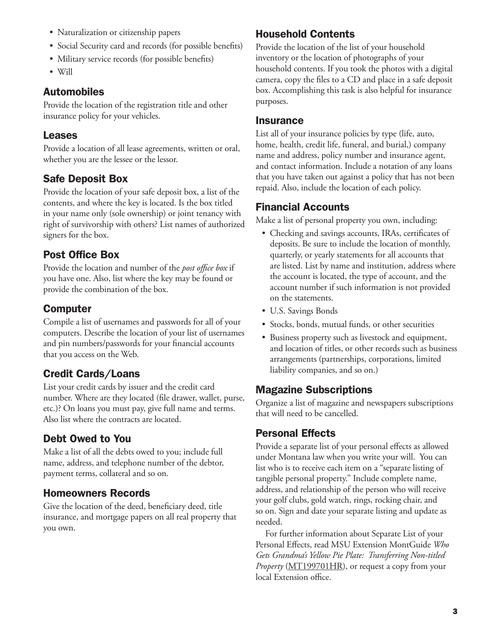- Naturalization or citizenship papers
- Social Security card and records (for possible benefits)
- Military service records (for possible benefits)
- Will

#### Automobiles

Provide the location of the registration title and other insurance policy for your vehicles.

#### Leases

Provide a location of all lease agreements, written or oral, whether you are the lessee or the lessor.

#### Safe Deposit Box

Provide the location of your safe deposit box, a list of the contents, and where the key is located. Is the box titled in your name only (sole ownership) or joint tenancy with right of survivorship with others? List names of authorized signers for the box.

#### Post Office Box

Provide the location and number of the *post office box* if you have one. Also, list where the key may be found or provide the combination of the box.

#### Computer

Compile a list of usernames and passwords for all of your computers. Describe the location of your list of usernames and pin numbers/passwords for your financial accounts that you access on the Web.

# Credit Cards/Loans

List your credit cards by issuer and the credit card number. Where are they located (file drawer, wallet, purse, etc.)? On loans you must pay, give full name and terms. Also list where the contracts are located.

# Debt Owed to You

Make a list of all the debts owed to you; include full name, address, and telephone number of the debtor, payment terms, collateral and so on.

#### Homeowners Records

Give the location of the deed, beneficiary deed, title insurance, and mortgage papers on all real property that you own.

#### Household Contents

Provide the location of the list of your household inventory or the location of photographs of your household contents. If you took the photos with a digital camera, copy the files to a CD and place in a safe deposit box. Accomplishing this task is also helpful for insurance purposes.

#### **Insurance**

List all of your insurance policies by type (life, auto, home, health, credit life, funeral, and burial,) company name and address, policy number and insurance agent, and contact information. Include a notation of any loans that you have taken out against a policy that has not been repaid. Also, include the location of each policy.

#### Financial Accounts

Make a list of personal property you own, including:

- Checking and savings accounts, IRAs, certificates of deposits. Be sure to include the location of monthly, quarterly, or yearly statements for all accounts that are listed. List by name and institution, address where the account is located, the type of account, and the account number if such information is not provided on the statements.
- U.S. Savings Bonds
- Stocks, bonds, mutual funds, or other securities
- Business property such as livestock and equipment, and location of titles, or other records such as business arrangements (partnerships, corporations, limited liability companies, and so on.)

#### Magazine Subscriptions

Organize a list of magazine and newspapers subscriptions that will need to be cancelled.

#### Personal Effects

Provide a separate list of your personal effects as allowed under Montana law when you write your will. You can list who is to receive each item on a "separate listing of tangible personal property." Include complete name, address, and relationship of the person who will receive your golf clubs, gold watch, rings, rocking chair, and so on. Sign and date your separate listing and update as needed.

For further information about Separate List of your Personal Effects, read MSU Extension MontGuide *Who Gets Grandma's Yellow Pie Plate: Transferring Non-titled Property* [\(MT199701HR](http://msuextension.org/publications/FamilyFinancialManagement/MT199701HR.pdf)), or request a copy from your local Extension office.